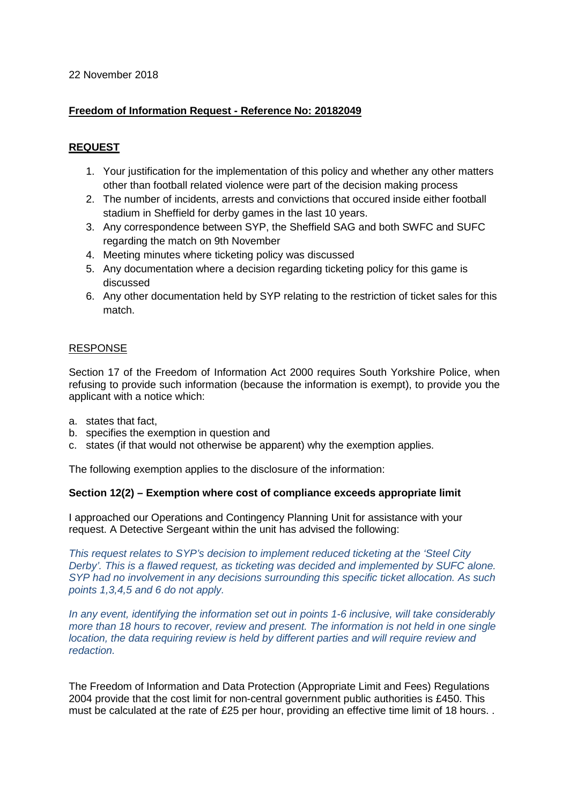## 22 November 2018

# **Freedom of Information Request - Reference No: 20182049**

# **REQUEST**

- 1. Your justification for the implementation of this policy and whether any other matters other than football related violence were part of the decision making process
- 2. The number of incidents, arrests and convictions that occured inside either football stadium in Sheffield for derby games in the last 10 years.
- 3. Any correspondence between SYP, the Sheffield SAG and both SWFC and SUFC regarding the match on 9th November
- 4. Meeting minutes where ticketing policy was discussed
- 5. Any documentation where a decision regarding ticketing policy for this game is discussed
- 6. Any other documentation held by SYP relating to the restriction of ticket sales for this match.

## RESPONSE

Section 17 of the Freedom of Information Act 2000 requires South Yorkshire Police, when refusing to provide such information (because the information is exempt), to provide you the applicant with a notice which:

- a. states that fact,
- b. specifies the exemption in question and
- c. states (if that would not otherwise be apparent) why the exemption applies.

The following exemption applies to the disclosure of the information:

#### **Section 12(2) – Exemption where cost of compliance exceeds appropriate limit**

I approached our Operations and Contingency Planning Unit for assistance with your request. A Detective Sergeant within the unit has advised the following:

*This request relates to SYP's decision to implement reduced ticketing at the 'Steel City Derby'. This is a flawed request, as ticketing was decided and implemented by SUFC alone. SYP had no involvement in any decisions surrounding this specific ticket allocation. As such points 1,3,4,5 and 6 do not apply.*

*In any event, identifying the information set out in points 1-6 inclusive, will take considerably more than 18 hours to recover, review and present. The information is not held in one single location, the data requiring review is held by different parties and will require review and redaction.*

The Freedom of Information and Data Protection (Appropriate Limit and Fees) Regulations 2004 provide that the cost limit for non-central government public authorities is £450. This must be calculated at the rate of £25 per hour, providing an effective time limit of 18 hours. .